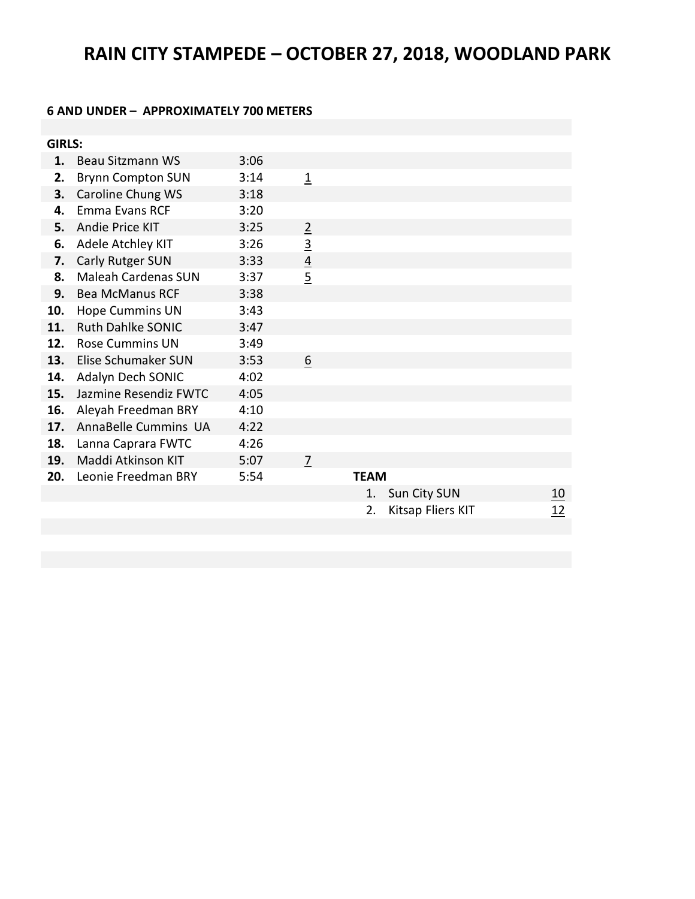# **RAIN CITY STAMPEDE – OCTOBER 27, 2018, WOODLAND PARK**

#### **6 AND UNDER – APPROXIMATELY 700 METERS**

| <b>GIRLS:</b> |                            |      |                |             |                   |            |
|---------------|----------------------------|------|----------------|-------------|-------------------|------------|
| 1.            | Beau Sitzmann WS           | 3:06 |                |             |                   |            |
| 2.            | <b>Brynn Compton SUN</b>   | 3:14 | $\overline{1}$ |             |                   |            |
| 3.            | Caroline Chung WS          | 3:18 |                |             |                   |            |
| 4.            | <b>Emma Evans RCF</b>      | 3:20 |                |             |                   |            |
| 5.            | Andie Price KIT            | 3:25 | $\overline{2}$ |             |                   |            |
| 6.            | Adele Atchley KIT          | 3:26 | $\overline{3}$ |             |                   |            |
| 7.            | <b>Carly Rutger SUN</b>    | 3:33 | $\overline{4}$ |             |                   |            |
| 8.            | <b>Maleah Cardenas SUN</b> | 3:37 | $\overline{5}$ |             |                   |            |
| 9.            | <b>Bea McManus RCF</b>     | 3:38 |                |             |                   |            |
| 10.           | <b>Hope Cummins UN</b>     | 3:43 |                |             |                   |            |
| 11.           | <b>Ruth Dahlke SONIC</b>   | 3:47 |                |             |                   |            |
| 12.           | <b>Rose Cummins UN</b>     | 3:49 |                |             |                   |            |
| 13.           | Elise Schumaker SUN        | 3:53 | 6              |             |                   |            |
| 14.           | Adalyn Dech SONIC          | 4:02 |                |             |                   |            |
| 15.           | Jazmine Resendiz FWTC      | 4:05 |                |             |                   |            |
| 16.           | Aleyah Freedman BRY        | 4:10 |                |             |                   |            |
| 17.           | AnnaBelle Cummins UA       | 4:22 |                |             |                   |            |
| 18.           | Lanna Caprara FWTC         | 4:26 |                |             |                   |            |
| 19.           | Maddi Atkinson KIT         | 5:07 | 7              |             |                   |            |
| 20.           | Leonie Freedman BRY        | 5:54 |                | <b>TEAM</b> |                   |            |
|               |                            |      |                | 1.          | Sun City SUN      | <u> 10</u> |
|               |                            |      |                | 2.          | Kitsap Fliers KIT | 12         |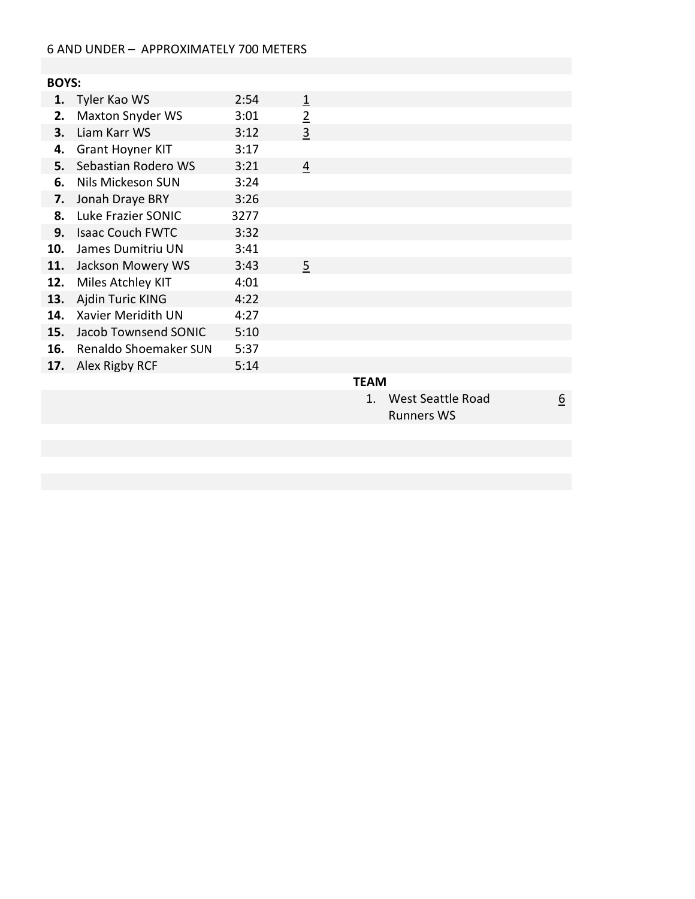## 6 AND UNDER – APPROXIMATELY 700 METERS

# **BOYS:**

| 1.  | Tyler Kao WS              | 2:54 | 1              |      |
|-----|---------------------------|------|----------------|------|
| 2.  | <b>Maxton Snyder WS</b>   | 3:01 | $\overline{2}$ |      |
| 3.  | Liam Karr WS              | 3:12 | 3              |      |
| 4.  | <b>Grant Hoyner KIT</b>   | 3:17 |                |      |
| 5.  | Sebastian Rodero WS       | 3:21 | 4              |      |
| 6.  | Nils Mickeson SUN         | 3:24 |                |      |
| 7.  | Jonah Draye BRY           | 3:26 |                |      |
| 8.  | Luke Frazier SONIC        | 3277 |                |      |
| 9.  | <b>Isaac Couch FWTC</b>   | 3:32 |                |      |
| 10. | James Dumitriu UN         | 3:41 |                |      |
| 11. | Jackson Mowery WS         | 3:43 | 5              |      |
| 12. | Miles Atchley KIT         | 4:01 |                |      |
| 13. | Ajdin Turic KING          | 4:22 |                |      |
| 14. | <b>Xavier Meridith UN</b> | 4:27 |                |      |
| 15. | Jacob Townsend SONIC      | 5:10 |                |      |
| 16. | Renaldo Shoemaker SUN     | 5:37 |                |      |
| 17. | Alex Rigby RCF            | 5:14 |                |      |
|     |                           |      |                | ΤϜΔΜ |

#### **TEAM**

1. West Seattle Road Runners WS

6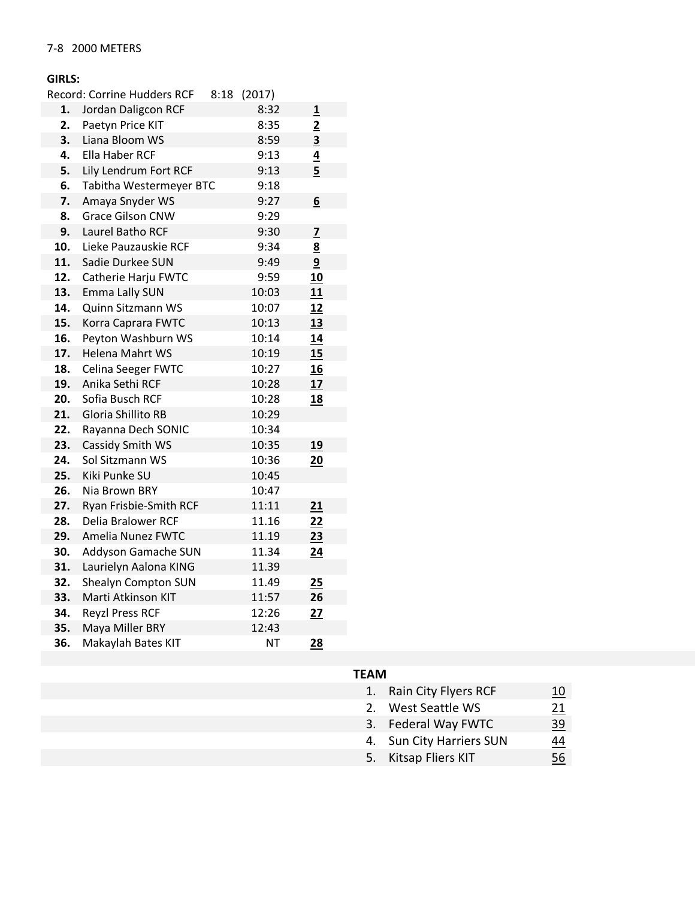# **GIRLS:**

|     | <b>Record: Corrine Hudders RCF</b> | 8:18 (2017) |                         |
|-----|------------------------------------|-------------|-------------------------|
| 1.  | Jordan Daligcon RCF                | 8:32        | $\overline{\mathbf{1}}$ |
| 2.  | Paetyn Price KIT                   | 8:35        | $\overline{2}$          |
| 3.  | Liana Bloom WS                     | 8:59        | $\overline{\mathbf{3}}$ |
| 4.  | Ella Haber RCF                     | 9:13        | $\overline{4}$          |
| 5.  | Lily Lendrum Fort RCF              | 9:13        | $\overline{5}$          |
| 6.  | Tabitha Westermeyer BTC            | 9:18        |                         |
| 7.  | Amaya Snyder WS                    | 9:27        | 6                       |
| 8.  | <b>Grace Gilson CNW</b>            | 9:29        |                         |
| 9.  | Laurel Batho RCF                   | 9:30        | $\overline{z}$          |
| 10. | Lieke Pauzauskie RCF               | 9:34        | 8                       |
| 11. | Sadie Durkee SUN                   | 9:49        | 9                       |
| 12. | Catherie Harju FWTC                | 9:59        | 10                      |
| 13. | Emma Lally SUN                     | 10:03       | 11                      |
| 14. | Quinn Sitzmann WS                  | 10:07       | 12                      |
| 15. | Korra Caprara FWTC                 | 10:13       | 13                      |
| 16. | Peyton Washburn WS                 | 10:14       | 14                      |
| 17. | Helena Mahrt WS                    | 10:19       | 15                      |
| 18. | <b>Celina Seeger FWTC</b>          | 10:27       | 16                      |
| 19. | Anika Sethi RCF                    | 10:28       | 17                      |
| 20. | Sofia Busch RCF                    | 10:28       | <u>18</u>               |
| 21. | <b>Gloria Shillito RB</b>          | 10:29       |                         |
| 22. | Rayanna Dech SONIC                 | 10:34       |                         |
| 23. | Cassidy Smith WS                   | 10:35       | <u>19</u>               |
| 24. | Sol Sitzmann WS                    | 10:36       | 20                      |
| 25. | Kiki Punke SU                      | 10:45       |                         |
| 26. | Nia Brown BRY                      | 10:47       |                         |
| 27. | Ryan Frisbie-Smith RCF             | 11:11       | 21                      |
| 28. | Delia Bralower RCF                 | 11.16       | 22                      |
| 29. | Amelia Nunez FWTC                  | 11.19       | 23                      |
| 30. | Addyson Gamache SUN                | 11.34       | 24                      |
| 31. | Laurielyn Aalona KING              | 11.39       |                         |
| 32. | Shealyn Compton SUN                | 11.49       | 25                      |
| 33. | Marti Atkinson KIT                 | 11:57       | 26                      |
| 34. | <b>Reyzl Press RCF</b>             | 12:26       | 27                      |
| 35. | Maya Miller BRY                    | 12:43       |                         |
| 36. | Makaylah Bates KIT                 | ΝT          | 28                      |
|     |                                    |             |                         |

# **TEAM**

| 1. Rain City Flyers RCF | 10 |
|-------------------------|----|
|                         |    |

- 2. West Seattle WS  $\frac{21}{3}$ <br>3. Federal Way FWTC  $\frac{39}{3}$
- 3. Federal Way FWTC
- 4. Sun City Harriers SUN  $\frac{44}{56}$ <br>5. Kitsap Fliers KIT 56
- 5. Kitsap Fliers KIT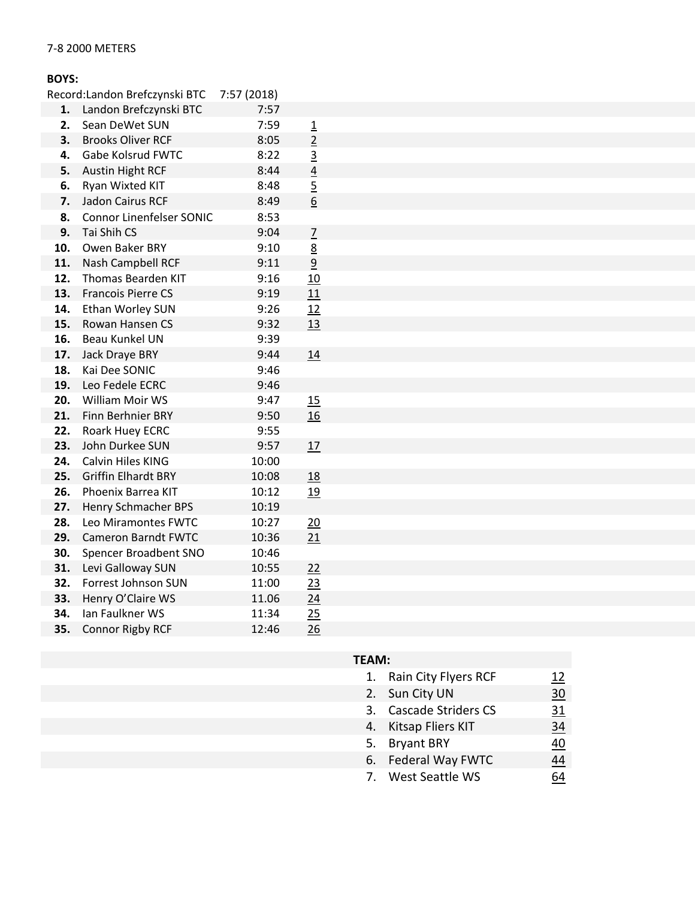## 7-8 2000 METERS

#### **BOYS:**

| 1.  | Landon Brefczynski BTC          | 7:57  |                |
|-----|---------------------------------|-------|----------------|
| 2.  | Sean DeWet SUN                  | 7:59  | $\overline{1}$ |
| 3.  | <b>Brooks Oliver RCF</b>        | 8:05  | $\overline{2}$ |
| 4.  | <b>Gabe Kolsrud FWTC</b>        | 8:22  | $\overline{3}$ |
| 5.  | <b>Austin Hight RCF</b>         | 8:44  | $\frac{4}{1}$  |
| 6.  | Ryan Wixted KIT                 | 8:48  | $\overline{5}$ |
| 7.  | <b>Jadon Cairus RCF</b>         | 8:49  | 6              |
| 8.  | <b>Connor Linenfelser SONIC</b> | 8:53  |                |
| 9.  | Tai Shih CS                     | 9:04  | $\overline{1}$ |
| 10. | Owen Baker BRY                  | 9:10  | <u>8</u>       |
| 11. | Nash Campbell RCF               | 9:11  | $\overline{9}$ |
| 12. | Thomas Bearden KIT              | 9:16  | 10             |
| 13. | <b>Francois Pierre CS</b>       | 9:19  | 11             |
| 14. | Ethan Worley SUN                | 9:26  | 12             |
| 15. | Rowan Hansen CS                 | 9:32  | 13             |
| 16. | <b>Beau Kunkel UN</b>           | 9:39  |                |
| 17. | Jack Draye BRY                  | 9:44  | 14             |
| 18. | Kai Dee SONIC                   | 9:46  |                |
| 19. | Leo Fedele ECRC                 | 9:46  |                |
| 20. | William Moir WS                 | 9:47  | 15             |
| 21. | Finn Berhnier BRY               | 9:50  | 16             |
| 22. | Roark Huey ECRC                 | 9:55  |                |
| 23. | John Durkee SUN                 | 9:57  | 17             |
| 24. | <b>Calvin Hiles KING</b>        | 10:00 |                |
| 25. | <b>Griffin Elhardt BRY</b>      | 10:08 | <u>18</u>      |
| 26. | Phoenix Barrea KIT              | 10:12 | 19             |
| 27. | <b>Henry Schmacher BPS</b>      | 10:19 |                |
| 28. | Leo Miramontes FWTC             | 10:27 | 20             |
| 29. | <b>Cameron Barndt FWTC</b>      | 10:36 | 21             |
| 30. | Spencer Broadbent SNO           | 10:46 |                |
| 31. | Levi Galloway SUN               | 10:55 | 22             |
| 32. | Forrest Johnson SUN             | 11:00 | <u>23</u>      |
| 33. | Henry O'Claire WS               | 11.06 | 24             |
| 34. | Ian Faulkner WS                 | 11:34 | 25             |
| 35. | Connor Rigby RCF                | 12:46 | 26             |

| 1. | Rain City Flyers RCF   | 12 |
|----|------------------------|----|
|    | 2. Sun City UN         | 30 |
|    | 3. Cascade Striders CS | 31 |
|    | 4. Kitsap Fliers KIT   | 34 |
|    | 5. Bryant BRY          | 40 |
|    | 6. Federal Way FWTC    | 44 |
|    | 7. West Seattle WS     |    |
|    |                        |    |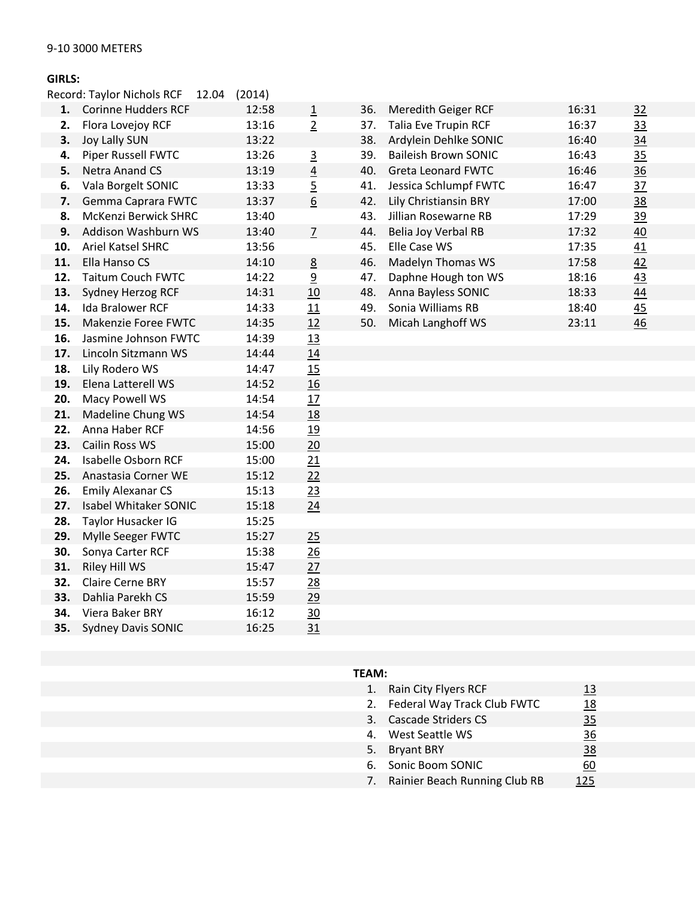#### **GIRLS:**

|     | Record: Taylor Nichols RCF<br>12.04 | (2014) |                |
|-----|-------------------------------------|--------|----------------|
| 1.  | <b>Corinne Hudders RCF</b>          | 12:58  | $\overline{1}$ |
| 2.  | Flora Lovejoy RCF                   | 13:16  | $\overline{2}$ |
| 3.  | <b>Joy Lally SUN</b>                | 13:22  |                |
| 4.  | Piper Russell FWTC                  | 13:26  | $\overline{3}$ |
| 5.  | <b>Netra Anand CS</b>               | 13:19  |                |
| 6.  | Vala Borgelt SONIC                  | 13:33  | $\frac{4}{5}$  |
| 7.  | Gemma Caprara FWTC                  | 13:37  | 6              |
| 8.  | McKenzi Berwick SHRC                | 13:40  |                |
| 9.  | Addison Washburn WS                 | 13:40  | $\overline{Z}$ |
| 10. | <b>Ariel Katsel SHRC</b>            | 13:56  |                |
| 11. | Ella Hanso CS                       | 14:10  | 8              |
| 12. | <b>Taitum Couch FWTC</b>            | 14:22  | $\overline{a}$ |
| 13. | Sydney Herzog RCF                   | 14:31  | 10             |
| 14. | <b>Ida Bralower RCF</b>             | 14:33  | 11             |
| 15. | <b>Makenzie Foree FWTC</b>          | 14:35  | 12             |
| 16. | Jasmine Johnson FWTC                | 14:39  | 13             |
| 17. | Lincoln Sitzmann WS                 | 14:44  | 14             |
| 18. | Lily Rodero WS                      | 14:47  | 15             |
| 19. | Elena Latterell WS                  | 14:52  | 16             |
| 20. | Macy Powell WS                      | 14:54  | 17             |
| 21. | Madeline Chung WS                   | 14:54  | 18             |
| 22. | Anna Haber RCF                      | 14:56  | 19             |
| 23. | Cailin Ross WS                      | 15:00  | 20             |
| 24. | Isabelle Osborn RCF                 | 15:00  | 21             |
| 25. | Anastasia Corner WE                 | 15:12  | 22             |
| 26. | <b>Emily Alexanar CS</b>            | 15:13  | 23             |
| 27. | Isabel Whitaker SONIC               | 15:18  | 24             |
| 28. | Taylor Husacker IG                  | 15:25  |                |
| 29. | Mylle Seeger FWTC                   | 15:27  | 25             |
| 30. | Sonya Carter RCF                    | 15:38  | 26             |
| 31. | Riley Hill WS                       | 15:47  | 27             |
| 32. | <b>Claire Cerne BRY</b>             | 15:57  | 28             |
| 33. | Dahlia Parekh CS                    | 15:59  | 29             |
| 34. | <b>Viera Baker BRY</b>              | 16:12  | 30             |
| 35. | <b>Sydney Davis SONIC</b>           | 16:25  | 31             |
|     |                                     |        |                |

|     | <b>Corinne Hudders RCF</b>  | 12:58 | 1                | 36. | Meredith Geiger RCF         | 16:31 | 32             |
|-----|-----------------------------|-------|------------------|-----|-----------------------------|-------|----------------|
| 2.  | Flora Lovejoy RCF           | 13:16 | $\overline{2}$   | 37. | <b>Talia Eve Trupin RCF</b> | 16:37 | 33             |
| З.  | <b>Joy Lally SUN</b>        | 13:22 |                  | 38. | Ardylein Dehlke SONIC       | 16:40 | 34             |
| 4.  | <b>Piper Russell FWTC</b>   | 13:26 | 3                | 39. | <b>Baileish Brown SONIC</b> | 16:43 | 35             |
| 5.  | Netra Anand CS              | 13:19 | $\overline{4}$   | 40. | <b>Greta Leonard FWTC</b>   | 16:46 | $\frac{36}{5}$ |
| 6.  | Vala Borgelt SONIC          | 13:33 | $\overline{5}$   | 41. | Jessica Schlumpf FWTC       | 16:47 | $\frac{37}{2}$ |
| 7.  | Gemma Caprara FWTC          | 13:37 | $6 \overline{6}$ | 42. | Lily Christiansin BRY       | 17:00 | 38             |
| 8.  | <b>McKenzi Berwick SHRC</b> | 13:40 |                  | 43. | Jillian Rosewarne RB        | 17:29 | <u>39</u>      |
| 9.  | Addison Washburn WS         | 13:40 | 7                | 44. | Belia Joy Verbal RB         | 17:32 | 40             |
| 10. | <b>Ariel Katsel SHRC</b>    | 13:56 |                  | 45. | Elle Case WS                | 17:35 | 41             |
| 11. | Ella Hanso CS               | 14:10 | 8                | 46. | <b>Madelyn Thomas WS</b>    | 17:58 | 42             |
| 12. | <b>Taitum Couch FWTC</b>    | 14:22 | $\overline{a}$   | 47. | Daphne Hough ton WS         | 18:16 | 43             |
| 13. | Sydney Herzog RCF           | 14:31 | 10               | 48. | Anna Bayless SONIC          | 18:33 | 44             |
| 14. | Ida Bralower RCF            | 14:33 | 11               | 49. | Sonia Williams RB           | 18:40 | 45             |
| 15. | Makenzie Foree FWTC         | 14:35 | 12               | 50. | Micah Langhoff WS           | 23:11 | 46             |
|     |                             |       |                  |     |                             |       |                |

| 1. | Rain City Flyers RCF             | 13             |
|----|----------------------------------|----------------|
| 2. | Federal Way Track Club FWTC      | 18             |
| 3. | <b>Cascade Striders CS</b>       | 35             |
|    | 4. West Seattle WS               | $\frac{36}{5}$ |
|    | 5. Bryant BRY                    | <u>38</u>      |
| 6. | Sonic Boom SONIC                 | 60             |
|    | 7. Rainier Beach Running Club RB | 125            |
|    |                                  |                |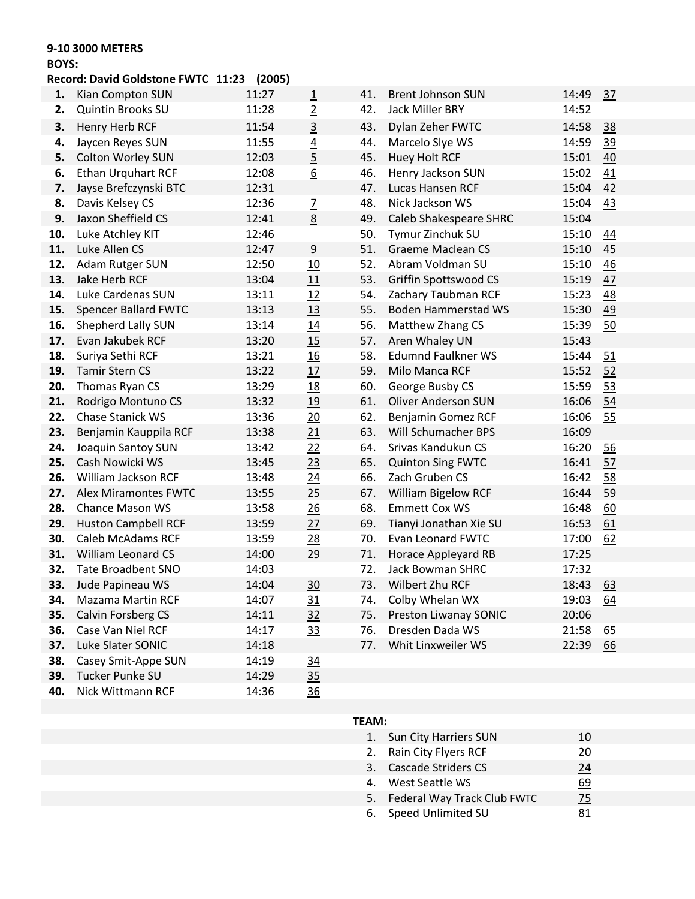## **9-10 3000 METERS**

#### **BOYS:**

# **Record: David Goldstone FWTC 11:23 (2005)**

| 1.  | Kian Compton SUN            | 11:27 | $\overline{1}$   | 41. | <b>Brent Johnson SUN</b>   | 14:49 | 37        |
|-----|-----------------------------|-------|------------------|-----|----------------------------|-------|-----------|
| 2.  | <b>Quintin Brooks SU</b>    | 11:28 | $\overline{2}$   | 42. | Jack Miller BRY            | 14:52 |           |
| 3.  | Henry Herb RCF              | 11:54 | $\overline{3}$   | 43. | Dylan Zeher FWTC           | 14:58 | 38        |
| 4.  | Jaycen Reyes SUN            | 11:55 | $\overline{4}$   | 44. | Marcelo Slye WS            | 14:59 | <u>39</u> |
| 5.  | Colton Worley SUN           | 12:03 | $\overline{5}$   | 45. | <b>Huey Holt RCF</b>       | 15:01 | 40        |
| 6.  | <b>Ethan Urquhart RCF</b>   | 12:08 | $6 \overline{6}$ | 46. | Henry Jackson SUN          | 15:02 | 41        |
| 7.  | Jayse Brefczynski BTC       | 12:31 |                  | 47. | Lucas Hansen RCF           | 15:04 | 42        |
| 8.  | Davis Kelsey CS             | 12:36 | $\overline{2}$   | 48. | Nick Jackson WS            | 15:04 | 43        |
| 9.  | Jaxon Sheffield CS          | 12:41 | 8                | 49. | Caleb Shakespeare SHRC     | 15:04 |           |
| 10. | Luke Atchley KIT            | 12:46 |                  | 50. | Tymur Zinchuk SU           | 15:10 | 44        |
| 11. | Luke Allen CS               | 12:47 | $\overline{9}$   | 51. | <b>Graeme Maclean CS</b>   | 15:10 | 45        |
| 12. | Adam Rutger SUN             | 12:50 | <u>10</u>        | 52. | Abram Voldman SU           | 15:10 | 46        |
| 13. | Jake Herb RCF               | 13:04 | 11               | 53. | Griffin Spottswood CS      | 15:19 | 47        |
| 14. | Luke Cardenas SUN           | 13:11 | 12               | 54. | Zachary Taubman RCF        | 15:23 | 48        |
| 15. | <b>Spencer Ballard FWTC</b> | 13:13 | 13               | 55. | Boden Hammerstad WS        | 15:30 | 49        |
| 16. | Shepherd Lally SUN          | 13:14 | 14               | 56. | Matthew Zhang CS           | 15:39 | 50        |
| 17. | Evan Jakubek RCF            | 13:20 | 15               | 57. | Aren Whaley UN             | 15:43 |           |
| 18. | Suriya Sethi RCF            | 13:21 | <b>16</b>        | 58. | <b>Edumnd Faulkner WS</b>  | 15:44 | 51        |
| 19. | <b>Tamir Stern CS</b>       | 13:22 | 17               | 59. | Milo Manca RCF             | 15:52 | 52        |
| 20. | Thomas Ryan CS              | 13:29 | 18               | 60. | George Busby CS            | 15:59 | 53        |
| 21. | Rodrigo Montuno CS          | 13:32 | 19               | 61. | <b>Oliver Anderson SUN</b> | 16:06 | 54        |
| 22. | Chase Stanick WS            | 13:36 | 20               | 62. | Benjamin Gomez RCF         | 16:06 | 55        |
| 23. | Benjamin Kauppila RCF       | 13:38 | 21               | 63. | Will Schumacher BPS        | 16:09 |           |
| 24. | Joaquin Santoy SUN          | 13:42 | 22               | 64. | Srivas Kandukun CS         | 16:20 | 56        |
| 25. | Cash Nowicki WS             | 13:45 | 23               | 65. | <b>Quinton Sing FWTC</b>   | 16:41 | 57        |
| 26. | William Jackson RCF         | 13:48 | $\overline{24}$  | 66. | Zach Gruben CS             | 16:42 | 58        |
| 27. | Alex Miramontes FWTC        | 13:55 | 25               | 67. | William Bigelow RCF        | 16:44 | 59        |
| 28. | <b>Chance Mason WS</b>      | 13:58 | $\frac{26}{5}$   | 68. | <b>Emmett Cox WS</b>       | 16:48 | 60        |
| 29. | <b>Huston Campbell RCF</b>  | 13:59 | 27               | 69. | Tianyi Jonathan Xie SU     | 16:53 | 61        |
| 30. | Caleb McAdams RCF           | 13:59 | 28               | 70. | <b>Evan Leonard FWTC</b>   | 17:00 | 62        |
| 31. | William Leonard CS          | 14:00 | 29               | 71. | Horace Appleyard RB        | 17:25 |           |
| 32. | <b>Tate Broadbent SNO</b>   | 14:03 |                  | 72. | Jack Bowman SHRC           | 17:32 |           |
|     | 33. Jude Papineau WS        | 14:04 | 30               | 73. | Wilbert Zhu RCF            | 18:43 | 63        |
| 34. | <b>Mazama Martin RCF</b>    | 14:07 | 31               | 74. | Colby Whelan WX            | 19:03 | <u>64</u> |
| 35. | Calvin Forsberg CS          | 14:11 | 32               | 75. | Preston Liwanay SONIC      | 20:06 |           |
| 36. | Case Van Niel RCF           | 14:17 | 33               | 76. | Dresden Dada WS            | 21:58 | 65        |
| 37. | Luke Slater SONIC           | 14:18 |                  |     | 77. Whit Linxweiler WS     | 22:39 | <u>66</u> |
| 38. | Casey Smit-Appe SUN         | 14:19 | $\underline{34}$ |     |                            |       |           |
| 39. | Tucker Punke SU             | 14:29 | 35               |     |                            |       |           |
| 40. | Nick Wittmann RCF           | 14:36 | 36               |     |                            |       |           |

| 1. | Sun City Harriers SUN       | 10 |
|----|-----------------------------|----|
| 2. | Rain City Flyers RCF        | 20 |
| 3. | <b>Cascade Striders CS</b>  | 24 |
|    | 4. West Seattle WS          | 69 |
| 5. | Federal Way Track Club FWTC | 75 |
|    | 6. Speed Unlimited SU       | 81 |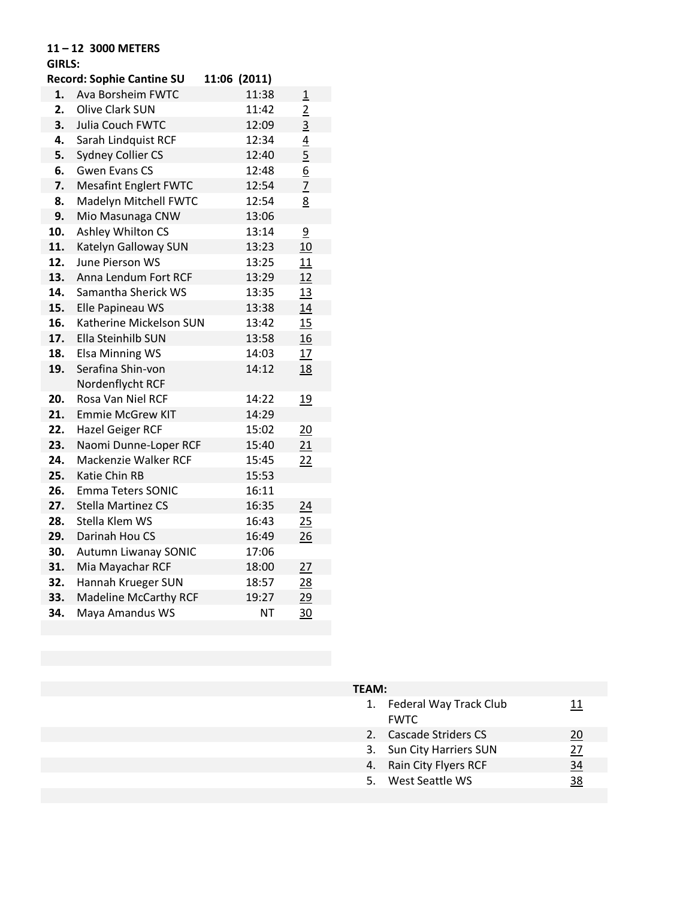## **11 – 12 3000 METERS**

# **GIRLS:**

|     | <b>Record: Sophie Cantine SU</b> | 11:06 (2011) |                |
|-----|----------------------------------|--------------|----------------|
| 1.  | Ava Borsheim FWTC                | 11:38        | $\overline{1}$ |
| 2.  | <b>Olive Clark SUN</b>           | 11:42        | $\overline{2}$ |
| 3.  | Julia Couch FWTC                 | 12:09        | $\overline{3}$ |
| 4.  | Sarah Lindquist RCF              | 12:34        | $\overline{4}$ |
| 5.  | <b>Sydney Collier CS</b>         | 12:40        | $\overline{5}$ |
| 6.  | <b>Gwen Evans CS</b>             | 12:48        | $\frac{6}{7}$  |
| 7.  | <b>Mesafint Englert FWTC</b>     | 12:54        |                |
| 8.  | Madelyn Mitchell FWTC            | 12:54        | <u>8</u>       |
| 9.  | Mio Masunaga CNW                 | 13:06        |                |
| 10. | Ashley Whilton CS                | 13:14        | $\overline{9}$ |
| 11. | Katelyn Galloway SUN             | 13:23        | 10             |
| 12. | <b>June Pierson WS</b>           | 13:25        | 11             |
| 13. | Anna Lendum Fort RCF             | 13:29        | 12             |
| 14. | Samantha Sherick WS              | 13:35        | <u>13</u>      |
| 15. | Elle Papineau WS                 | 13:38        | 14             |
| 16. | Katherine Mickelson SUN          | 13:42        | 15             |
| 17. | <b>Ella Steinhilb SUN</b>        | 13:58        | 16             |
| 18. | <b>Elsa Minning WS</b>           | 14:03        | 17             |
| 19. | Serafina Shin-von                | 14:12        | 18             |
|     | Nordenflycht RCF                 |              |                |
| 20. | Rosa Van Niel RCF                | 14:22        | 19             |
| 21. | <b>Emmie McGrew KIT</b>          | 14:29        |                |
| 22. | Hazel Geiger RCF                 | 15:02        | 20             |
| 23. | Naomi Dunne-Loper RCF            | 15:40        | 21             |
| 24. | Mackenzie Walker RCF             | 15:45        | 22             |
| 25. | <b>Katie Chin RB</b>             | 15:53        |                |
| 26. | Emma Teters SONIC                | 16:11        |                |
| 27. | <b>Stella Martinez CS</b>        | 16:35        | 24             |
| 28. | Stella Klem WS                   | 16:43        | 25             |
| 29. | Darinah Hou CS                   | 16:49        | 26             |
| 30. | <b>Autumn Liwanay SONIC</b>      | 17:06        |                |
| 31. | Mia Mayachar RCF                 | 18:00        | 27             |
| 32. | Hannah Krueger SUN               | 18:57        | <u> 28</u>     |
| 33. | <b>Madeline McCarthy RCF</b>     | 19:27        | 29             |
| 34. | Maya Amandus WS                  | <b>NT</b>    | $\frac{30}{2}$ |

| 1. | Federal Way Track Club<br><b>FWTC</b> |    |
|----|---------------------------------------|----|
| 2. | Cascade Striders CS                   | 20 |
| 3. | Sun City Harriers SUN                 | 27 |
| 4. | Rain City Flyers RCF                  | 34 |
|    | 5. West Seattle WS                    | 38 |
|    |                                       |    |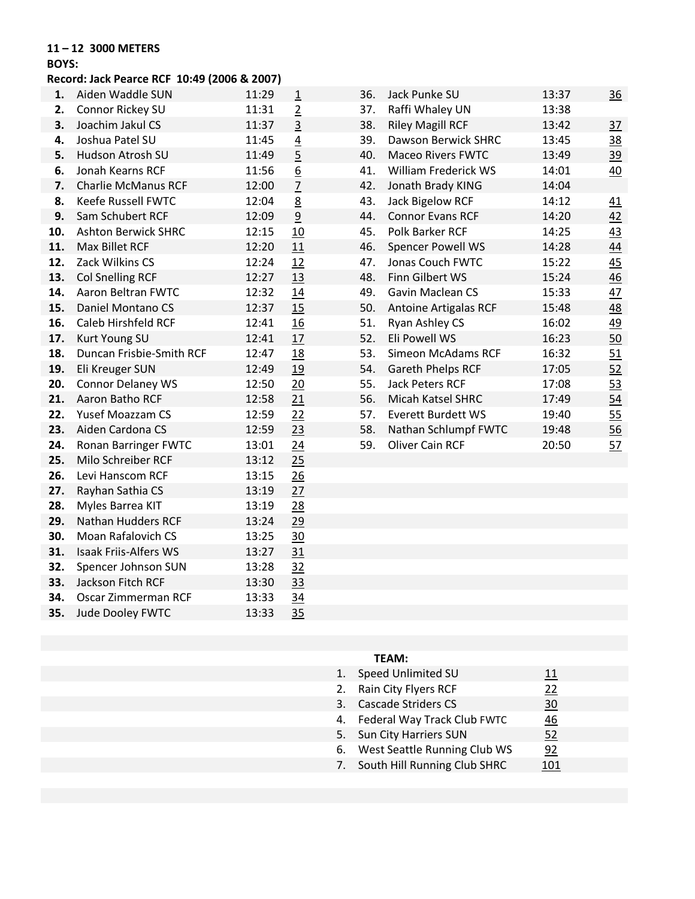#### **11 – 12 3000 METERS**

#### **BOYS:**

#### **Record: Jack Pearce RCF 10:49 (2006 & 2007)**

| 1.  | Aiden Waddle SUN             | 11:29 | $\overline{1}$  | 36. | Jack Punke SU             | 13:37 | 36        |
|-----|------------------------------|-------|-----------------|-----|---------------------------|-------|-----------|
| 2.  | Connor Rickey SU             | 11:31 | $\overline{2}$  | 37. | Raffi Whaley UN           | 13:38 |           |
| 3.  | Joachim Jakul CS             | 11:37 | $\overline{3}$  | 38. | <b>Riley Magill RCF</b>   | 13:42 | 37        |
| 4.  | Joshua Patel SU              | 11:45 | $\overline{4}$  | 39. | Dawson Berwick SHRC       | 13:45 | 38        |
| 5.  | Hudson Atrosh SU             | 11:49 | $\overline{5}$  | 40. | <b>Maceo Rivers FWTC</b>  | 13:49 | <u>39</u> |
| 6.  | Jonah Kearns RCF             | 11:56 | 6               | 41. | William Frederick WS      | 14:01 | 40        |
| 7.  | <b>Charlie McManus RCF</b>   | 12:00 | $\overline{2}$  | 42. | Jonath Brady KING         | 14:04 |           |
| 8.  | Keefe Russell FWTC           | 12:04 | 8               | 43. | Jack Bigelow RCF          | 14:12 | 41        |
| 9.  | Sam Schubert RCF             | 12:09 | $\overline{9}$  | 44. | <b>Connor Evans RCF</b>   | 14:20 | 42        |
| 10. | <b>Ashton Berwick SHRC</b>   | 12:15 | 10              | 45. | Polk Barker RCF           | 14:25 | 43        |
| 11. | Max Billet RCF               | 12:20 | 11              | 46. | Spencer Powell WS         | 14:28 | 44        |
| 12. | Zack Wilkins CS              | 12:24 | 12              | 47. | Jonas Couch FWTC          | 15:22 | 45        |
| 13. | <b>Col Snelling RCF</b>      | 12:27 | 13              | 48. | Finn Gilbert WS           | 15:24 | 46        |
| 14. | <b>Aaron Beltran FWTC</b>    | 12:32 | 14              | 49. | Gavin Maclean CS          | 15:33 | 47        |
| 15. | Daniel Montano CS            | 12:37 | 15              | 50. | Antoine Artigalas RCF     | 15:48 | 48        |
| 16. | Caleb Hirshfeld RCF          | 12:41 | 16              | 51. | Ryan Ashley CS            | 16:02 | 49        |
| 17. | Kurt Young SU                | 12:41 | 17              | 52. | Eli Powell WS             | 16:23 | 50        |
| 18. | Duncan Frisbie-Smith RCF     | 12:47 | 18              | 53. | <b>Simeon McAdams RCF</b> | 16:32 | 51        |
| 19. | Eli Kreuger SUN              | 12:49 | 19              | 54. | Gareth Phelps RCF         | 17:05 | 52        |
| 20. | <b>Connor Delaney WS</b>     | 12:50 | 20              | 55. | <b>Jack Peters RCF</b>    | 17:08 | 53        |
| 21. | Aaron Batho RCF              | 12:58 | 21              | 56. | <b>Micah Katsel SHRC</b>  | 17:49 | 54        |
| 22. | Yusef Moazzam CS             | 12:59 | 22              | 57. | <b>Everett Burdett WS</b> | 19:40 | 55        |
| 23. | Aiden Cardona CS             | 12:59 | 23              | 58. | Nathan Schlumpf FWTC      | 19:48 | 56        |
| 24. | Ronan Barringer FWTC         | 13:01 | 24              | 59. | Oliver Cain RCF           | 20:50 | <u>57</u> |
| 25. | Milo Schreiber RCF           | 13:12 | 25              |     |                           |       |           |
| 26. | Levi Hanscom RCF             | 13:15 | 26              |     |                           |       |           |
| 27. | Rayhan Sathia CS             | 13:19 | 27              |     |                           |       |           |
| 28. | Myles Barrea KIT             | 13:19 | 28              |     |                           |       |           |
| 29. | Nathan Hudders RCF           | 13:24 | 29              |     |                           |       |           |
| 30. | Moan Rafalovich CS           | 13:25 | 30              |     |                           |       |           |
| 31. | <b>Isaak Friis-Alfers WS</b> | 13:27 | 31              |     |                           |       |           |
| 32. | Spencer Johnson SUN          | 13:28 | 32              |     |                           |       |           |
| 33. | Jackson Fitch RCF            | 13:30 | 33              |     |                           |       |           |
| 34. | Oscar Zimmerman RCF          | 13:33 | $\overline{34}$ |     |                           |       |           |
| 35. | Jude Dooley FWTC             | 13:33 | 35              |     |                           |       |           |
|     |                              |       |                 |     |                           |       |           |

| 36. | Jack Punke SU                | 13:37 | <u>36</u>      |
|-----|------------------------------|-------|----------------|
| 37. | Raffi Whaley UN              | 13:38 |                |
| 38. | <b>Riley Magill RCF</b>      | 13:42 | $\frac{37}{2}$ |
| 39. | <b>Dawson Berwick SHRC</b>   | 13:45 | 38             |
| 40. | <b>Maceo Rivers FWTC</b>     | 13:49 | <u>39</u>      |
| 41. | <b>William Frederick WS</b>  | 14:01 | 40             |
| 42. | Jonath Brady KING            | 14:04 |                |
| 43. | <b>Jack Bigelow RCF</b>      | 14:12 | <u>41</u>      |
| 44. | <b>Connor Evans RCF</b>      | 14:20 | 42             |
| 45. | Polk Barker RCF              | 14:25 | 43             |
| 46. | <b>Spencer Powell WS</b>     | 14:28 | 44             |
| 47. | Jonas Couch FWTC             | 15:22 | 45             |
| 48. | Finn Gilbert WS              | 15:24 | 46             |
| 49. | Gavin Maclean CS             | 15:33 | 47             |
| 50. | <b>Antoine Artigalas RCF</b> | 15:48 | 48             |
| 51. | <b>Ryan Ashley CS</b>        | 16:02 | 49             |
| 52. | Eli Powell WS                | 16:23 | 50             |
| 53. | <b>Simeon McAdams RCF</b>    | 16:32 | 51             |
| 54. | Gareth Phelps RCF            | 17:05 | 52             |
| 55. | <b>Jack Peters RCF</b>       | 17:08 | 53             |
| 56. | Micah Katsel SHRC            | 17:49 | 54             |
| 57. | <b>Everett Burdett WS</b>    | 19:40 | 55             |
| 58. | Nathan Schlumpf FWTC         | 19:48 | 56             |
| 59. | <b>Oliver Cain RCF</b>       | 20:50 | 57             |

| 1. | Speed Unlimited SU              | 11  |  |
|----|---------------------------------|-----|--|
|    | 2. Rain City Flyers RCF         | 22  |  |
| 3. | <b>Cascade Striders CS</b>      | 30  |  |
|    | 4. Federal Way Track Club FWTC  | 46  |  |
|    | 5. Sun City Harriers SUN        | 52  |  |
|    | 6. West Seattle Running Club WS | 92  |  |
|    | 7. South Hill Running Club SHRC | 101 |  |
|    |                                 |     |  |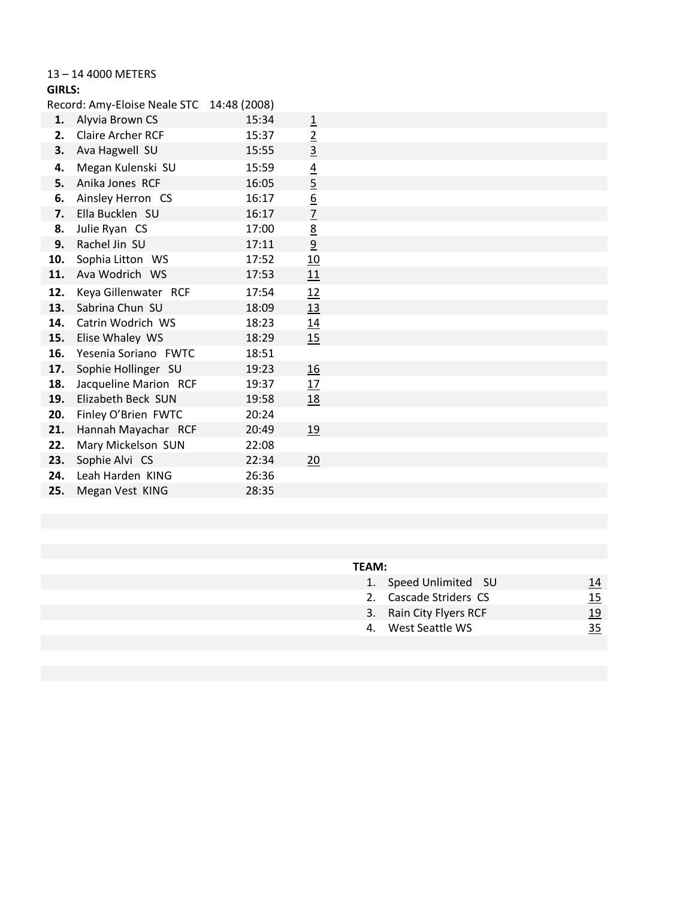#### 13 – 14 4000 METERS

| GIRLS: |  |
|--------|--|
|        |  |

|     | Record: Amy-Eloise Neale STC 14:48 (2008) |       |                 |  |
|-----|-------------------------------------------|-------|-----------------|--|
| 1.  | Alyvia Brown CS                           | 15:34 | $\overline{1}$  |  |
| 2.  | <b>Claire Archer RCF</b>                  | 15:37 | $\overline{2}$  |  |
| 3.  | Ava Hagwell SU                            | 15:55 | $\overline{3}$  |  |
| 4.  | Megan Kulenski SU                         | 15:59 |                 |  |
| 5.  | Anika Jones RCF                           | 16:05 | $\frac{4}{5}$   |  |
| 6.  | Ainsley Herron CS                         | 16:17 | $\underline{6}$ |  |
| 7.  | Ella Bucklen SU                           | 16:17 | $\overline{1}$  |  |
| 8.  | Julie Ryan CS                             | 17:00 | <u>8</u>        |  |
| 9.  | Rachel Jin SU                             | 17:11 | $\overline{6}$  |  |
|     | 10. Sophia Litton WS                      | 17:52 | 10              |  |
| 11. | Ava Wodrich WS                            | 17:53 | 11              |  |
| 12. | Keya Gillenwater RCF                      | 17:54 | 12              |  |
| 13. | Sabrina Chun SU                           | 18:09 | 13              |  |
| 14. | Catrin Wodrich WS                         | 18:23 | 14              |  |
| 15. | Elise Whaley WS                           | 18:29 | 15              |  |
|     | 16. Yesenia Soriano FWTC                  | 18:51 |                 |  |
| 17. | Sophie Hollinger SU                       | 19:23 | <u>16</u>       |  |
| 18. | Jacqueline Marion RCF                     | 19:37 | 17              |  |
| 19. | Elizabeth Beck SUN                        | 19:58 | <u>18</u>       |  |
| 20. | Finley O'Brien FWTC                       | 20:24 |                 |  |
| 21. | Hannah Mayachar RCF                       | 20:49 | 19              |  |
| 22. | Mary Mickelson SUN                        | 22:08 |                 |  |
| 23. | Sophie Alvi CS                            | 22:34 | 20              |  |
| 24. | Leah Harden KING                          | 26:36 |                 |  |
| 25. | Megan Vest KING                           | 28:35 |                 |  |

| 1. Speed Unlimited SU   | <u> 14</u> |
|-------------------------|------------|
| 2. Cascade Striders CS  | <u>15</u>  |
| 3. Rain City Flyers RCF | <u> 19</u> |
| 4. West Seattle WS      | <u>35</u>  |
|                         |            |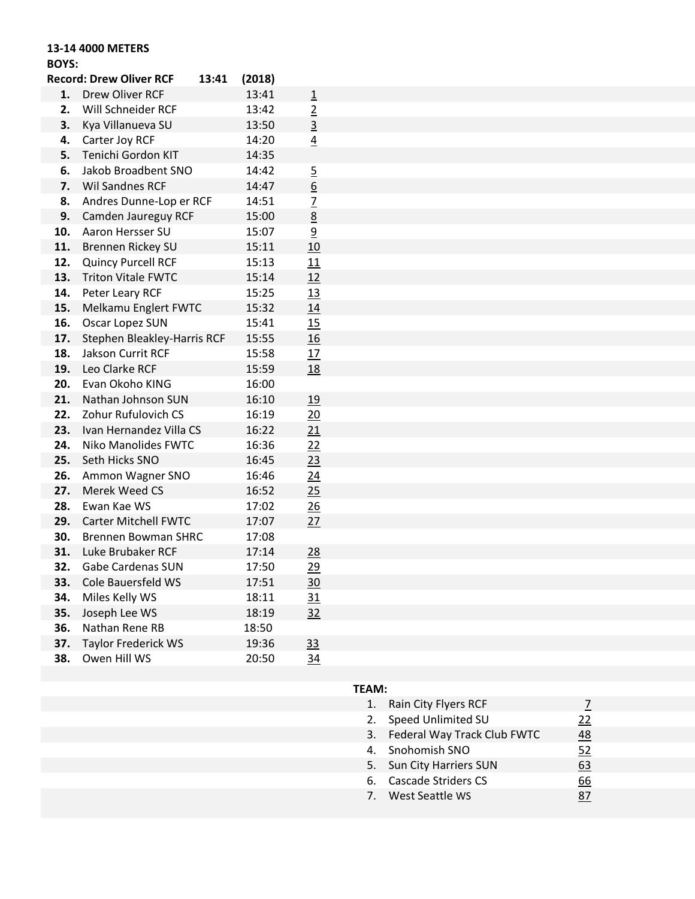# **13-14 4000 METERS**

## **BOYS:**

|     | <b>Record: Drew Oliver RCF</b> | 13:41 | (2018) |                 |
|-----|--------------------------------|-------|--------|-----------------|
| 1.  | Drew Oliver RCF                |       | 13:41  | $\overline{1}$  |
| 2.  | Will Schneider RCF             |       | 13:42  |                 |
| 3.  | Kya Villanueva SU              |       | 13:50  | $rac{2}{3}$     |
| 4.  | Carter Joy RCF                 |       | 14:20  | $\overline{4}$  |
| 5.  | Tenichi Gordon KIT             |       | 14:35  |                 |
| 6.  | Jakob Broadbent SNO            |       | 14:42  | $\overline{5}$  |
| 7.  | <b>Wil Sandnes RCF</b>         |       | 14:47  | $\underline{6}$ |
| 8.  | Andres Dunne-Lop er RCF        |       | 14:51  | $\overline{z}$  |
| 9.  | Camden Jaureguy RCF            |       | 15:00  | $\overline{8}$  |
| 10. | Aaron Hersser SU               |       | 15:07  | $\overline{9}$  |
| 11. | Brennen Rickey SU              |       | 15:11  | 10              |
| 12. | Quincy Purcell RCF             |       | 15:13  | 11              |
| 13. | <b>Triton Vitale FWTC</b>      |       | 15:14  | <u>12</u>       |
| 14. | Peter Leary RCF                |       | 15:25  | 13              |
| 15. | Melkamu Englert FWTC           |       | 15:32  | 14              |
| 16. | Oscar Lopez SUN                |       | 15:41  | 15              |
| 17. | Stephen Bleakley-Harris RCF    |       | 15:55  | <u>16</u>       |
| 18. | Jakson Currit RCF              |       | 15:58  | 17              |
| 19. | Leo Clarke RCF                 |       | 15:59  | <u>18</u>       |
| 20. | Evan Okoho KING                |       | 16:00  |                 |
| 21. | Nathan Johnson SUN             |       | 16:10  | <u>19</u>       |
| 22. | Zohur Rufulovich CS            |       | 16:19  | 20              |
| 23. | Ivan Hernandez Villa CS        |       | 16:22  | 21              |
| 24. | <b>Niko Manolides FWTC</b>     |       | 16:36  | 22              |
| 25. | Seth Hicks SNO                 |       | 16:45  | <u>23</u>       |
| 26. | Ammon Wagner SNO               |       | 16:46  | <u>24</u>       |
| 27. | Merek Weed CS                  |       | 16:52  | 25              |
| 28. | Ewan Kae WS                    |       | 17:02  | $\frac{26}{5}$  |
| 29. | <b>Carter Mitchell FWTC</b>    |       | 17:07  | 27              |
| 30. | <b>Brennen Bowman SHRC</b>     |       | 17:08  |                 |
| 31. | Luke Brubaker RCF              |       | 17:14  | 28              |
| 32. | <b>Gabe Cardenas SUN</b>       |       | 17:50  | <u> 29</u>      |
| 33. | Cole Bauersfeld WS             |       | 17:51  | <u>30</u>       |
| 34. | Miles Kelly WS                 |       | 18:11  | <u>31</u>       |
| 35. | Joseph Lee WS                  |       | 18:19  | <u>32</u>       |
| 36. | Nathan Rene RB                 |       | 18:50  |                 |
| 37. | <b>Taylor Frederick WS</b>     |       | 19:36  | <u>33</u>       |
| 38. | Owen Hill WS                   |       | 20:50  | <u>34</u>       |
|     |                                |       |        |                 |

| 1. | Rain City Flyers RCF           |           |
|----|--------------------------------|-----------|
| 2. | Speed Unlimited SU             | <u>22</u> |
|    | 3. Federal Way Track Club FWTC | 48        |
|    | 4. Snohomish SNO               | 52        |
| 5. | Sun City Harriers SUN          | 63        |
|    | 6. Cascade Striders CS         | 66        |
|    | 7. West Seattle WS             |           |